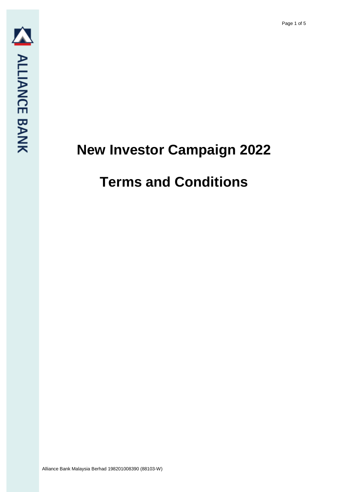# **New Investor Campaign 2022**

## **Terms and Conditions**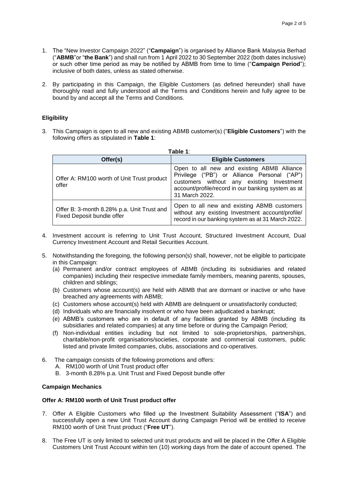- 1. The "New Investor Campaign 2022" ("**Campaign**") is organised by Alliance Bank Malaysia Berhad ("**ABMB**"or "**the Bank**") and shall run from 1 April 2022 to 30 September 2022 (both dates inclusive) or such other time period as may be notified by ABMB from time to time ("**Campaign Period**"); inclusive of both dates, unless as stated otherwise.
- 2. By participating in this Campaign, the Eligible Customers (as defined hereunder) shall have thoroughly read and fully understood all the Terms and Conditions herein and fully agree to be bound by and accept all the Terms and Conditions.

### **Eligibility**

3. This Campaign is open to all new and existing ABMB customer(s) ("**Eligible Customers**") with the following offers as stipulated in **Table 1**:

| Table 1:                                                                 |                                                                                                                                                                                                                 |  |  |
|--------------------------------------------------------------------------|-----------------------------------------------------------------------------------------------------------------------------------------------------------------------------------------------------------------|--|--|
| Offer(s)                                                                 | <b>Eligible Customers</b>                                                                                                                                                                                       |  |  |
| Offer A: RM100 worth of Unit Trust product<br>offer                      | Open to all new and existing ABMB Alliance<br>Privilege ("PB") or Alliance Personal ("AP")<br>customers without any existing Investment<br>account/profile/record in our banking system as at<br>31 March 2022. |  |  |
| Offer B: 3-month 8.28% p.a. Unit Trust and<br>Fixed Deposit bundle offer | Open to all new and existing ABMB customers<br>without any existing Investment account/profile/<br>record in our banking system as at 31 March 2022.                                                            |  |  |

- 4. Investment account is referring to Unit Trust Account, Structured Investment Account, Dual Currency Investment Account and Retail Securities Account.
- 5. Notwithstanding the foregoing, the following person(s) shall, however, not be eligible to participate in this Campaign:
	- (a) Permanent and/or contract employees of ABMB (including its subsidiaries and related companies) including their respective immediate family members, meaning parents, spouses, children and siblings;
	- (b) Customers whose account(s) are held with ABMB that are dormant or inactive or who have breached any agreements with ABMB;
	- (c) Customers whose account(s) held with ABMB are delinquent or unsatisfactorily conducted;
	- (d) Individuals who are financially insolvent or who have been adjudicated a bankrupt;
	- (e) ABMB's customers who are in default of any facilities granted by ABMB (including its subsidiaries and related companies) at any time before or during the Campaign Period;
	- (f) Non-individual entities including but not limited to sole-proprietorships, partnerships, charitable/non-profit organisations/societies, corporate and commercial customers, public listed and private limited companies, clubs, associations and co-operatives.
- 6. The campaign consists of the following promotions and offers:
	- A. RM100 worth of Unit Trust product offer
	- B. 3-month 8.28% p.a. Unit Trust and Fixed Deposit bundle offer

#### **Campaign Mechanics**

#### **Offer A: RM100 worth of Unit Trust product offer**

- 7. Offer A Eligible Customers who filled up the Investment Suitability Assessment ("**ISA**") and successfully open a new Unit Trust Account during Campaign Period will be entitled to receive RM100 worth of Unit Trust product ("**Free UT**").
- 8. The Free UT is only limited to selected unit trust products and will be placed in the Offer A Eligible Customers Unit Trust Account within ten (10) working days from the date of account opened. The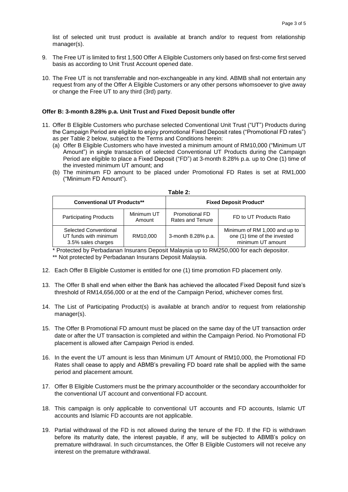list of selected unit trust product is available at branch and/or to request from relationship manager(s).

- 9. The Free UT is limited to first 1,500 Offer A Eligible Customers only based on first-come first served basis as according to Unit Trust Account opened date.
- 10. The Free UT is not transferrable and non-exchangeable in any kind. ABMB shall not entertain any request from any of the Offer A Eligible Customers or any other persons whomsoever to give away or change the Free UT to any third (3rd) party.

#### **Offer B: 3-month 8.28% p.a. Unit Trust and Fixed Deposit bundle offer**

- 11. Offer B Eligible Customers who purchase selected Conventional Unit Trust ("UT") Products during the Campaign Period are eligible to enjoy promotional Fixed Deposit rates ("Promotional FD rates") as per Table 2 below, subject to the Terms and Conditions herein:
	- (a) Offer B Eligible Customers who have invested a minimum amount of RM10,000 ("Minimum UT Amount") in single transaction of selected Conventional UT Products during the Campaign Period are eligible to place a Fixed Deposit ("FD") at 3-month 8.28% p.a. up to One (1) time of the invested minimum UT amount; and
	- (b) The minimum FD amount to be placed under Promotional FD Rates is set at RM1,000 ("Minimum FD Amount").

| <b>Conventional UT Products**</b>                                    |                      | <b>Fixed Deposit Product*</b>             |                                                                                    |  |  |
|----------------------------------------------------------------------|----------------------|-------------------------------------------|------------------------------------------------------------------------------------|--|--|
| <b>Participating Products</b>                                        | Minimum UT<br>Amount | <b>Promotional FD</b><br>Rates and Tenure | FD to UT Products Ratio                                                            |  |  |
| Selected Conventional<br>UT funds with minimum<br>3.5% sales charges | RM10,000             | 3-month 8.28% p.a.                        | Minimum of RM 1,000 and up to<br>one (1) time of the invested<br>minimum UT amount |  |  |

| iable |  |
|-------|--|
|-------|--|

\* Protected by Perbadanan Insurans Deposit Malaysia up to RM250,000 for each depositor. \*\* Not protected by Perbadanan Insurans Deposit Malaysia.

- 12. Each Offer B Eligible Customer is entitled for one (1) time promotion FD placement only.
- 13. The Offer B shall end when either the Bank has achieved the allocated Fixed Deposit fund size's threshold of RM14,656,000 or at the end of the Campaign Period, whichever comes first.
- 14. The List of Participating Product(s) is available at branch and/or to request from relationship manager(s).
- 15. The Offer B Promotional FD amount must be placed on the same day of the UT transaction order date or after the UT transaction is completed and within the Campaign Period. No Promotional FD placement is allowed after Campaign Period is ended.
- 16. In the event the UT amount is less than Minimum UT Amount of RM10,000, the Promotional FD Rates shall cease to apply and ABMB's prevailing FD board rate shall be applied with the same period and placement amount.
- 17. Offer B Eligible Customers must be the primary accountholder or the secondary accountholder for the conventional UT account and conventional FD account.
- 18. This campaign is only applicable to conventional UT accounts and FD accounts, Islamic UT accounts and Islamic FD accounts are not applicable.
- 19. Partial withdrawal of the FD is not allowed during the tenure of the FD. If the FD is withdrawn before its maturity date, the interest payable, if any, will be subjected to ABMB's policy on premature withdrawal. In such circumstances, the Offer B Eligible Customers will not receive any interest on the premature withdrawal.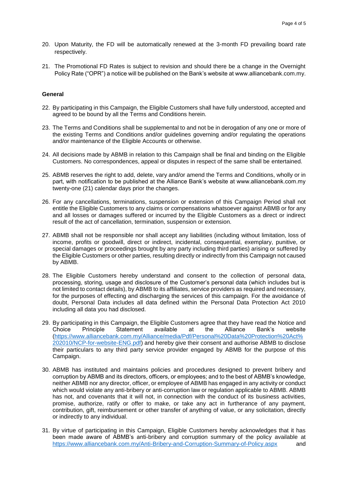- 20. Upon Maturity, the FD will be automatically renewed at the 3-month FD prevailing board rate respectively.
- 21. The Promotional FD Rates is subject to revision and should there be a change in the Overnight Policy Rate ("OPR") a notice will be published on the Bank's website at www.alliancebank.com.my.

#### **General**

- 22. By participating in this Campaign, the Eligible Customers shall have fully understood, accepted and agreed to be bound by all the Terms and Conditions herein.
- 23. The Terms and Conditions shall be supplemental to and not be in derogation of any one or more of the existing Terms and Conditions and/or guidelines governing and/or regulating the operations and/or maintenance of the Eligible Accounts or otherwise.
- 24. All decisions made by ABMB in relation to this Campaign shall be final and binding on the Eligible Customers. No correspondences, appeal or disputes in respect of the same shall be entertained.
- 25. ABMB reserves the right to add, delete, vary and/or amend the Terms and Conditions, wholly or in part, with notification to be published at the Alliance Bank's website at www.alliancebank.com.my twenty-one (21) calendar days prior the changes.
- 26. For any cancellations, terminations, suspension or extension of this Campaign Period shall not entitle the Eligible Customers to any claims or compensations whatsoever against ABMB or for any and all losses or damages suffered or incurred by the Eligible Customers as a direct or indirect result of the act of cancellation, termination, suspension or extension.
- 27. ABMB shall not be responsible nor shall accept any liabilities (including without limitation, loss of income, profits or goodwill, direct or indirect, incidental, consequential, exemplary, punitive, or special damages or proceedings brought by any party including third parties) arising or suffered by the Eligible Customers or other parties, resulting directly or indirectly from this Campaign not caused by ABMB.
- 28. The Eligible Customers hereby understand and consent to the collection of personal data, processing, storing, usage and disclosure of the Customer's personal data (which includes but is not limited to contact details), by ABMB to its affiliates, service providers as required and necessary, for the purposes of effecting and discharging the services of this campaign. For the avoidance of doubt, Personal Data includes all data defined within the Personal Data Protection Act 2010 including all data you had disclosed.
- 29. By participating in this Campaign, the Eligible Customers agree that they have read the Notice and Choice Principle Statement available at the Alliance Bank's website [\(https://www.alliancebank.com.my/Alliance/media/Pdf/Personal%20Data%20Protection%20Act%](https://www.alliancebank.com.my/Alliance/media/Pdf/Personal%20Data%20Protection%20Act%202010/NCP-for-website-ENG.pdf) [202010/NCP-for-website-ENG.pdf\)](https://www.alliancebank.com.my/Alliance/media/Pdf/Personal%20Data%20Protection%20Act%202010/NCP-for-website-ENG.pdf) and hereby give their consent and authorise ABMB to disclose their particulars to any third party service provider engaged by ABMB for the purpose of this Campaign.
- 30. ABMB has instituted and maintains policies and procedures designed to prevent bribery and corruption by ABMB and its directors, officers, or employees; and to the best of ABMB's knowledge, neither ABMB nor any director, officer, or employee of ABMB has engaged in any activity or conduct which would violate any anti-bribery or anti-corruption law or regulation applicable to ABMB. ABMB has not, and covenants that it will not, in connection with the conduct of its business activities, promise, authorize, ratify or offer to make, or take any act in furtherance of any payment, contribution, gift, reimbursement or other transfer of anything of value, or any solicitation, directly or indirectly to any individual.
- 31. By virtue of participating in this Campaign, Eligible Customers hereby acknowledges that it has been made aware of ABMB's anti-bribery and corruption summary of the policy available at <https://www.alliancebank.com.my/Anti-Bribery-and-Corruption-Summary-of-Policy.aspx> and